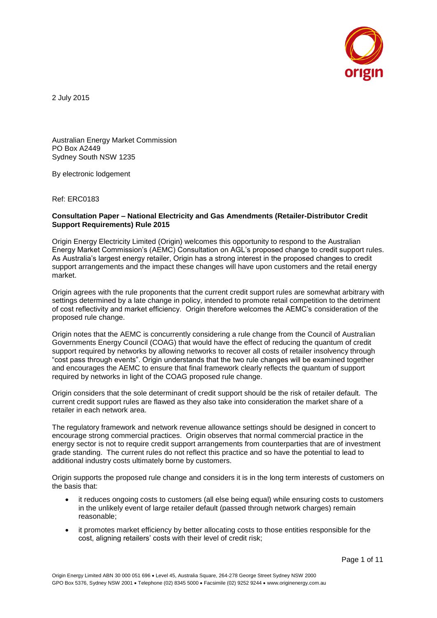

2 July 2015

Australian Energy Market Commission PO Box A2449 Sydney South NSW 1235

By electronic lodgement

Ref: ERC0183

#### **Consultation Paper – National Electricity and Gas Amendments (Retailer-Distributor Credit Support Requirements) Rule 2015**

Origin Energy Electricity Limited (Origin) welcomes this opportunity to respond to the Australian Energy Market Commission's (AEMC) Consultation on AGL's proposed change to credit support rules. As Australia's largest energy retailer, Origin has a strong interest in the proposed changes to credit support arrangements and the impact these changes will have upon customers and the retail energy market.

Origin agrees with the rule proponents that the current credit support rules are somewhat arbitrary with settings determined by a late change in policy, intended to promote retail competition to the detriment of cost reflectivity and market efficiency. Origin therefore welcomes the AEMC's consideration of the proposed rule change.

Origin notes that the AEMC is concurrently considering a rule change from the Council of Australian Governments Energy Council (COAG) that would have the effect of reducing the quantum of credit support required by networks by allowing networks to recover all costs of retailer insolvency through "cost pass through events". Origin understands that the two rule changes will be examined together and encourages the AEMC to ensure that final framework clearly reflects the quantum of support required by networks in light of the COAG proposed rule change.

Origin considers that the sole determinant of credit support should be the risk of retailer default. The current credit support rules are flawed as they also take into consideration the market share of a retailer in each network area.

The regulatory framework and network revenue allowance settings should be designed in concert to encourage strong commercial practices. Origin observes that normal commercial practice in the energy sector is not to require credit support arrangements from counterparties that are of investment grade standing. The current rules do not reflect this practice and so have the potential to lead to additional industry costs ultimately borne by customers.

Origin supports the proposed rule change and considers it is in the long term interests of customers on the basis that:

- it reduces ongoing costs to customers (all else being equal) while ensuring costs to customers in the unlikely event of large retailer default (passed through network charges) remain reasonable;
- it promotes market efficiency by better allocating costs to those entities responsible for the cost, aligning retailers' costs with their level of credit risk;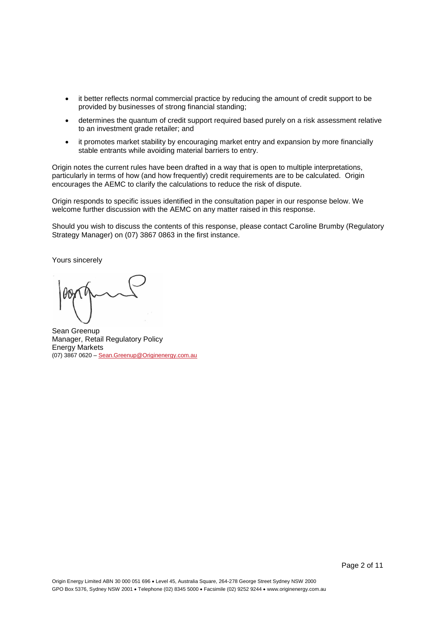- it better reflects normal commercial practice by reducing the amount of credit support to be provided by businesses of strong financial standing;
- determines the quantum of credit support required based purely on a risk assessment relative to an investment grade retailer; and
- it promotes market stability by encouraging market entry and expansion by more financially stable entrants while avoiding material barriers to entry.

Origin notes the current rules have been drafted in a way that is open to multiple interpretations, particularly in terms of how (and how frequently) credit requirements are to be calculated. Origin encourages the AEMC to clarify the calculations to reduce the risk of dispute.

Origin responds to specific issues identified in the consultation paper in our response below. We welcome further discussion with the AEMC on any matter raised in this response.

Should you wish to discuss the contents of this response, please contact Caroline Brumby (Regulatory Strategy Manager) on (07) 3867 0863 in the first instance.

Yours sincerely

Sean Greenup Manager, Retail Regulatory Policy Energy Markets (07) 3867 0620 – [Sean.Greenup@Originenergy.com.au](mailto:Sean.Greenup@Originenergy.com.au)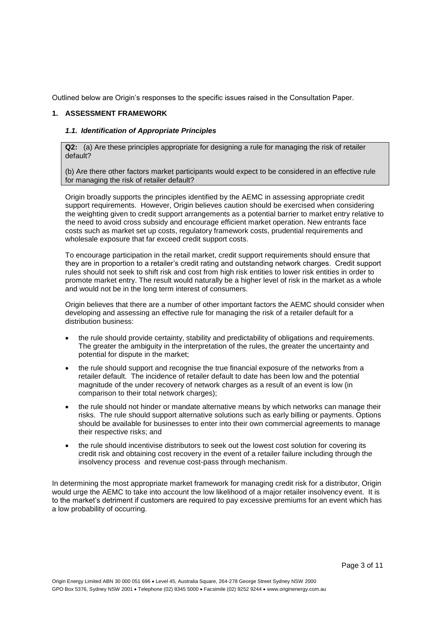Outlined below are Origin's responses to the specific issues raised in the Consultation Paper.

#### **1. ASSESSMENT FRAMEWORK**

#### *1.1. Identification of Appropriate Principles*

**Q2:** (a) Are these principles appropriate for designing a rule for managing the risk of retailer default?

(b) Are there other factors market participants would expect to be considered in an effective rule for managing the risk of retailer default?

Origin broadly supports the principles identified by the AEMC in assessing appropriate credit support requirements. However, Origin believes caution should be exercised when considering the weighting given to credit support arrangements as a potential barrier to market entry relative to the need to avoid cross subsidy and encourage efficient market operation. New entrants face costs such as market set up costs, regulatory framework costs, prudential requirements and wholesale exposure that far exceed credit support costs.

To encourage participation in the retail market, credit support requirements should ensure that they are in proportion to a retailer's credit rating and outstanding network charges. Credit support rules should not seek to shift risk and cost from high risk entities to lower risk entities in order to promote market entry. The result would naturally be a higher level of risk in the market as a whole and would not be in the long term interest of consumers.

Origin believes that there are a number of other important factors the AEMC should consider when developing and assessing an effective rule for managing the risk of a retailer default for a distribution business:

- the rule should provide certainty, stability and predictability of obligations and requirements. The greater the ambiguity in the interpretation of the rules, the greater the uncertainty and potential for dispute in the market;
- the rule should support and recognise the true financial exposure of the networks from a retailer default. The incidence of retailer default to date has been low and the potential magnitude of the under recovery of network charges as a result of an event is low (in comparison to their total network charges);
- the rule should not hinder or mandate alternative means by which networks can manage their risks. The rule should support alternative solutions such as early billing or payments. Options should be available for businesses to enter into their own commercial agreements to manage their respective risks; and
- the rule should incentivise distributors to seek out the lowest cost solution for covering its credit risk and obtaining cost recovery in the event of a retailer failure including through the insolvency process and revenue cost-pass through mechanism.

In determining the most appropriate market framework for managing credit risk for a distributor, Origin would urge the AEMC to take into account the low likelihood of a major retailer insolvency event. It is to the market's detriment if customers are required to pay excessive premiums for an event which has a low probability of occurring.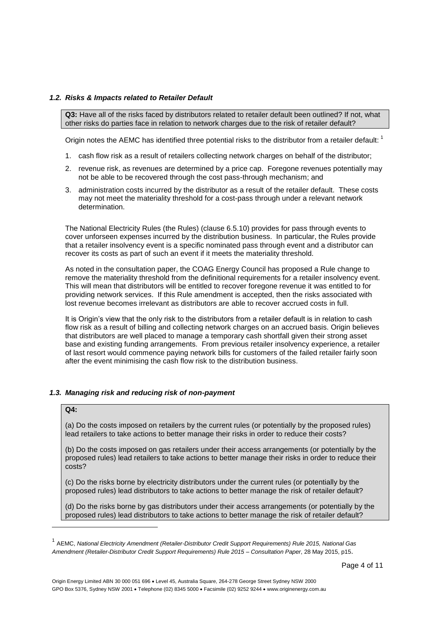#### *1.2. Risks & Impacts related to Retailer Default*

**Q3:** Have all of the risks faced by distributors related to retailer default been outlined? If not, what other risks do parties face in relation to network charges due to the risk of retailer default?

Origin notes the AEMC has identified three potential risks to the distributor from a retailer default: <sup>1</sup>

- 1. cash flow risk as a result of retailers collecting network charges on behalf of the distributor;
- 2. revenue risk, as revenues are determined by a price cap. Foregone revenues potentially may not be able to be recovered through the cost pass-through mechanism; and
- 3. administration costs incurred by the distributor as a result of the retailer default. These costs may not meet the materiality threshold for a cost-pass through under a relevant network determination.

The National Electricity Rules (the Rules) (clause 6.5.10) provides for pass through events to cover unforseen expenses incurred by the distribution business. In particular, the Rules provide that a retailer insolvency event is a specific nominated pass through event and a distributor can recover its costs as part of such an event if it meets the materiality threshold.

As noted in the consultation paper, the COAG Energy Council has proposed a Rule change to remove the materiality threshold from the definitional requirements for a retailer insolvency event. This will mean that distributors will be entitled to recover foregone revenue it was entitled to for providing network services. If this Rule amendment is accepted, then the risks associated with lost revenue becomes irrelevant as distributors are able to recover accrued costs in full.

It is Origin's view that the only risk to the distributors from a retailer default is in relation to cash flow risk as a result of billing and collecting network charges on an accrued basis. Origin believes that distributors are well placed to manage a temporary cash shortfall given their strong asset base and existing funding arrangements. From previous retailer insolvency experience, a retailer of last resort would commence paying network bills for customers of the failed retailer fairly soon after the event minimising the cash flow risk to the distribution business.

#### *1.3. Managing risk and reducing risk of non-payment*

#### **Q4:**

l

(a) Do the costs imposed on retailers by the current rules (or potentially by the proposed rules) lead retailers to take actions to better manage their risks in order to reduce their costs?

(b) Do the costs imposed on gas retailers under their access arrangements (or potentially by the proposed rules) lead retailers to take actions to better manage their risks in order to reduce their costs?

(c) Do the risks borne by electricity distributors under the current rules (or potentially by the proposed rules) lead distributors to take actions to better manage the risk of retailer default?

(d) Do the risks borne by gas distributors under their access arrangements (or potentially by the proposed rules) lead distributors to take actions to better manage the risk of retailer default?

<sup>1</sup> AEMC, *National Electricity Amendment (Retailer-Distributor Credit Support Requirements) Rule 2015, National Gas Amendment (Retailer-Distributor Credit Support Requirements) Rule 2015 – Consultation Paper*, 28 May 2015, p15.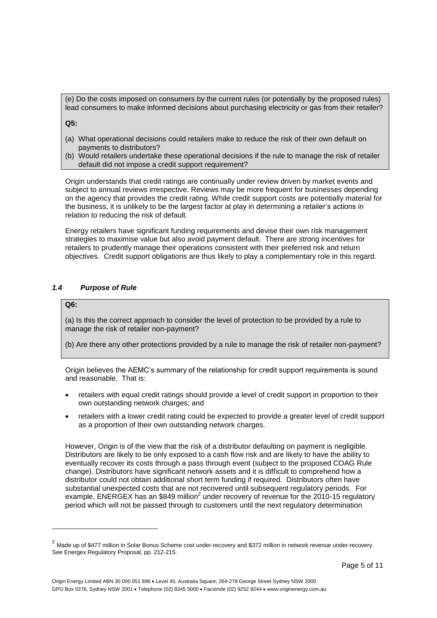(e) Do the costs imposed on consumers by the current rules (or potentially by the proposed rules) lead consumers to make informed decisions about purchasing electricity or gas from their retailer?

**Q5:** 

- (a) What operational decisions could retailers make to reduce the risk of their own default on payments to distributors?
- (b) Would retailers undertake these operational decisions if the rule to manage the risk of retailer default did not impose a credit support requirement?

Origin understands that credit ratings are continually under review driven by market events and subject to annual reviews irrespective. Reviews may be more frequent for businesses depending on the agency that provides the credit rating. While credit support costs are potentially material for the business, it is unlikely to be the largest factor at play in determining a retailer's actions in relation to reducing the risk of default.

Energy retailers have significant funding requirements and devise their own risk management strategies to maximise value but also avoid payment default. There are strong incentives for retailers to prudently manage their operations consistent with their preferred risk and return objectives. Credit support obligations are thus likely to play a complementary role in this regard.

### *1.4 Purpose of Rule*

### **Q6:**

l

(a) Is this the correct approach to consider the level of protection to be provided by a rule to manage the risk of retailer non-payment?

(b) Are there any other protections provided by a rule to manage the risk of retailer non-payment?

Origin believes the AEMC's summary of the relationship for credit support requirements is sound and reasonable. That is:

- retailers with equal credit ratings should provide a level of credit support in proportion to their own outstanding network charges; and
- retailers with a lower credit rating could be expected to provide a greater level of credit support as a proportion of their own outstanding network charges.

However, Origin is of the view that the risk of a distributor defaulting on payment is negligible. Distributors are likely to be only exposed to a cash flow risk and are likely to have the ability to eventually recover its costs through a pass through event (subject to the proposed COAG Rule change). Distributors have significant network assets and it is difficult to comprehend how a distributor could not obtain additional short term funding if required. Distributors often have substantial unexpected costs that are not recovered until subsequent regulatory periods. For example, ENERGEX has an \$849 million<sup>2</sup> under recovery of revenue for the 2010-15 regulatory period which will not be passed through to customers until the next regulatory determination

 $^2$  Made up of \$477 million in Solar Bonus Scheme cost under-recovery and \$372 million in network revenue under-recovery. See Energex Regulatory Proposal, pp. 212-215.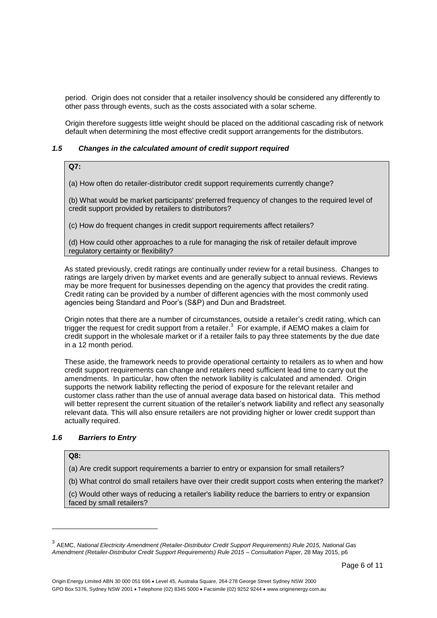period. Origin does not consider that a retailer insolvency should be considered any differently to other pass through events, such as the costs associated with a solar scheme.

Origin therefore suggests little weight should be placed on the additional cascading risk of network default when determining the most effective credit support arrangements for the distributors.

#### *1.5 Changes in the calculated amount of credit support required*

#### **Q7:**

(a) How often do retailer-distributor credit support requirements currently change?

(b) What would be market participants' preferred frequency of changes to the required level of credit support provided by retailers to distributors?

(c) How do frequent changes in credit support requirements affect retailers?

(d) How could other approaches to a rule for managing the risk of retailer default improve regulatory certainty or flexibility?

As stated previously, credit ratings are continually under review for a retail business. Changes to ratings are largely driven by market events and are generally subject to annual reviews. Reviews may be more frequent for businesses depending on the agency that provides the credit rating. Credit rating can be provided by a number of different agencies with the most commonly used agencies being Standard and Poor's (S&P) and Dun and Bradstreet.

Origin notes that there are a number of circumstances, outside a retailer's credit rating, which can trigger the request for credit support from a retailer.<sup>3</sup> For example, if AEMO makes a claim for credit support in the wholesale market or if a retailer fails to pay three statements by the due date in a 12 month period.

These aside, the framework needs to provide operational certainty to retailers as to when and how credit support requirements can change and retailers need sufficient lead time to carry out the amendments. In particular, how often the network liability is calculated and amended. Origin supports the network liability reflecting the period of exposure for the relevant retailer and customer class rather than the use of annual average data based on historical data. This method will better represent the current situation of the retailer's network liability and reflect any seasonally relevant data. This will also ensure retailers are not providing higher or lower credit support than actually required.

### *1.6 Barriers to Entry*

#### **Q8:**

l

(a) Are credit support requirements a barrier to entry or expansion for small retailers?

(b) What control do small retailers have over their credit support costs when entering the market?

(c) Would other ways of reducing a retailer's liability reduce the barriers to entry or expansion faced by small retailers?

<sup>3</sup> AEMC, *National Electricity Amendment (Retailer-Distributor Credit Support Requirements) Rule 2015, National Gas Amendment (Retailer-Distributor Credit Support Requirements) Rule 2015 – Consultation Paper*, 28 May 2015, p6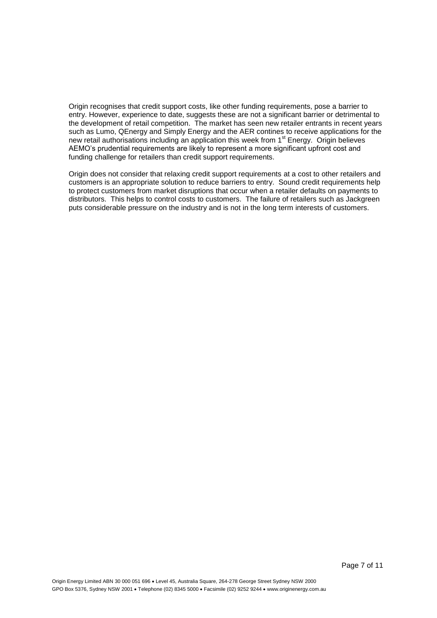Origin recognises that credit support costs, like other funding requirements, pose a barrier to entry. However, experience to date, suggests these are not a significant barrier or detrimental to the development of retail competition. The market has seen new retailer entrants in recent years such as Lumo, QEnergy and Simply Energy and the AER contines to receive applications for the new retail authorisations including an application this week from 1<sup>st</sup> Energy. Origin believes AEMO's prudential requirements are likely to represent a more significant upfront cost and funding challenge for retailers than credit support requirements.

Origin does not consider that relaxing credit support requirements at a cost to other retailers and customers is an appropriate solution to reduce barriers to entry. Sound credit requirements help to protect customers from market disruptions that occur when a retailer defaults on payments to distributors. This helps to control costs to customers. The failure of retailers such as Jackgreen puts considerable pressure on the industry and is not in the long term interests of customers.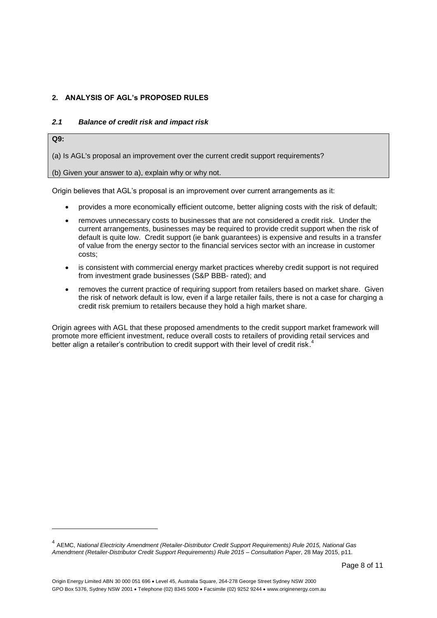## **2. ANALYSIS OF AGL's PROPOSED RULES**

#### *2.1 Balance of credit risk and impact risk*

**Q9:**

l

(a) Is AGL's proposal an improvement over the current credit support requirements?

(b) Given your answer to a), explain why or why not.

Origin believes that AGL's proposal is an improvement over current arrangements as it:

- provides a more economically efficient outcome, better aligning costs with the risk of default;
- removes unnecessary costs to businesses that are not considered a credit risk. Under the current arrangements, businesses may be required to provide credit support when the risk of default is quite low. Credit support (ie bank guarantees) is expensive and results in a transfer of value from the energy sector to the financial services sector with an increase in customer costs;
- is consistent with commercial energy market practices whereby credit support is not required from investment grade businesses (S&P BBB- rated); and
- removes the current practice of requiring support from retailers based on market share. Given the risk of network default is low, even if a large retailer fails, there is not a case for charging a credit risk premium to retailers because they hold a high market share.

Origin agrees with AGL that these proposed amendments to the credit support market framework will promote more efficient investment, reduce overall costs to retailers of providing retail services and .<br>better align a retailer's contribution to credit support with their level of credit risk.<sup>4</sup>

<sup>4</sup> AEMC, *National Electricity Amendment (Retailer-Distributor Credit Support Requirements) Rule 2015, National Gas Amendment (Retailer-Distributor Credit Support Requirements) Rule 2015 – Consultation Paper*, 28 May 2015, p11.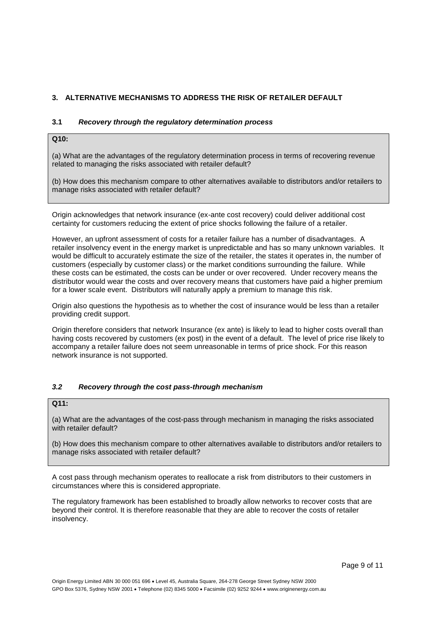# **3. ALTERNATIVE MECHANISMS TO ADDRESS THE RISK OF RETAILER DEFAULT**

#### **3.1** *Recovery through the regulatory determination process*

# **Q10:**

(a) What are the advantages of the regulatory determination process in terms of recovering revenue related to managing the risks associated with retailer default?

(b) How does this mechanism compare to other alternatives available to distributors and/or retailers to manage risks associated with retailer default?

Origin acknowledges that network insurance (ex-ante cost recovery) could deliver additional cost certainty for customers reducing the extent of price shocks following the failure of a retailer.

However, an upfront assessment of costs for a retailer failure has a number of disadvantages. A retailer insolvency event in the energy market is unpredictable and has so many unknown variables. It would be difficult to accurately estimate the size of the retailer, the states it operates in, the number of customers (especially by customer class) or the market conditions surrounding the failure. While these costs can be estimated, the costs can be under or over recovered. Under recovery means the distributor would wear the costs and over recovery means that customers have paid a higher premium for a lower scale event. Distributors will naturally apply a premium to manage this risk.

Origin also questions the hypothesis as to whether the cost of insurance would be less than a retailer providing credit support.

Origin therefore considers that network Insurance (ex ante) is likely to lead to higher costs overall than having costs recovered by customers (ex post) in the event of a default. The level of price rise likely to accompany a retailer failure does not seem unreasonable in terms of price shock. For this reason network insurance is not supported.

### *3.2 Recovery through the cost pass-through mechanism*

# **Q11:**

(a) What are the advantages of the cost-pass through mechanism in managing the risks associated with retailer default?

(b) How does this mechanism compare to other alternatives available to distributors and/or retailers to manage risks associated with retailer default?

A cost pass through mechanism operates to reallocate a risk from distributors to their customers in circumstances where this is considered appropriate.

The regulatory framework has been established to broadly allow networks to recover costs that are beyond their control. It is therefore reasonable that they are able to recover the costs of retailer insolvency.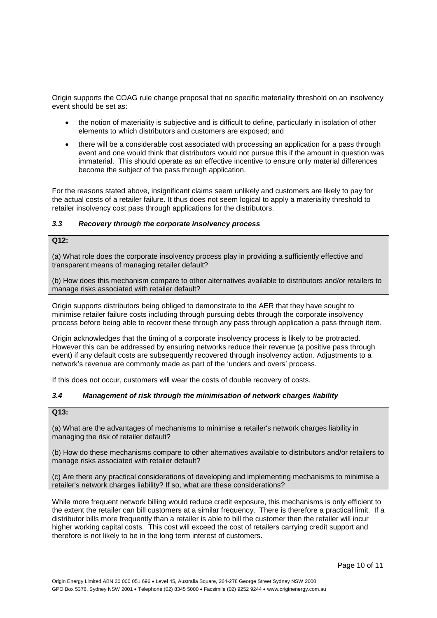Origin supports the COAG rule change proposal that no specific materiality threshold on an insolvency event should be set as:

- the notion of materiality is subjective and is difficult to define, particularly in isolation of other elements to which distributors and customers are exposed; and
- there will be a considerable cost associated with processing an application for a pass through event and one would think that distributors would not pursue this if the amount in question was immaterial. This should operate as an effective incentive to ensure only material differences become the subject of the pass through application.

For the reasons stated above, insignificant claims seem unlikely and customers are likely to pay for the actual costs of a retailer failure. It thus does not seem logical to apply a materiality threshold to retailer insolvency cost pass through applications for the distributors.

### *3.3 Recovery through the corporate insolvency process*

#### **Q12:**

(a) What role does the corporate insolvency process play in providing a sufficiently effective and transparent means of managing retailer default?

(b) How does this mechanism compare to other alternatives available to distributors and/or retailers to manage risks associated with retailer default?

Origin supports distributors being obliged to demonstrate to the AER that they have sought to minimise retailer failure costs including through pursuing debts through the corporate insolvency process before being able to recover these through any pass through application a pass through item.

Origin acknowledges that the timing of a corporate insolvency process is likely to be protracted. However this can be addressed by ensuring networks reduce their revenue (a positive pass through event) if any default costs are subsequently recovered through insolvency action. Adjustments to a network's revenue are commonly made as part of the 'unders and overs' process.

If this does not occur, customers will wear the costs of double recovery of costs.

### *3.4 Management of risk through the minimisation of network charges liability*

### **Q13:**

(a) What are the advantages of mechanisms to minimise a retailer's network charges liability in managing the risk of retailer default?

(b) How do these mechanisms compare to other alternatives available to distributors and/or retailers to manage risks associated with retailer default?

(c) Are there any practical considerations of developing and implementing mechanisms to minimise a retailer's network charges liability? If so, what are these considerations?

While more frequent network billing would reduce credit exposure, this mechanisms is only efficient to the extent the retailer can bill customers at a similar frequency. There is therefore a practical limit. If a distributor bills more frequently than a retailer is able to bill the customer then the retailer will incur higher working capital costs. This cost will exceed the cost of retailers carrying credit support and therefore is not likely to be in the long term interest of customers.